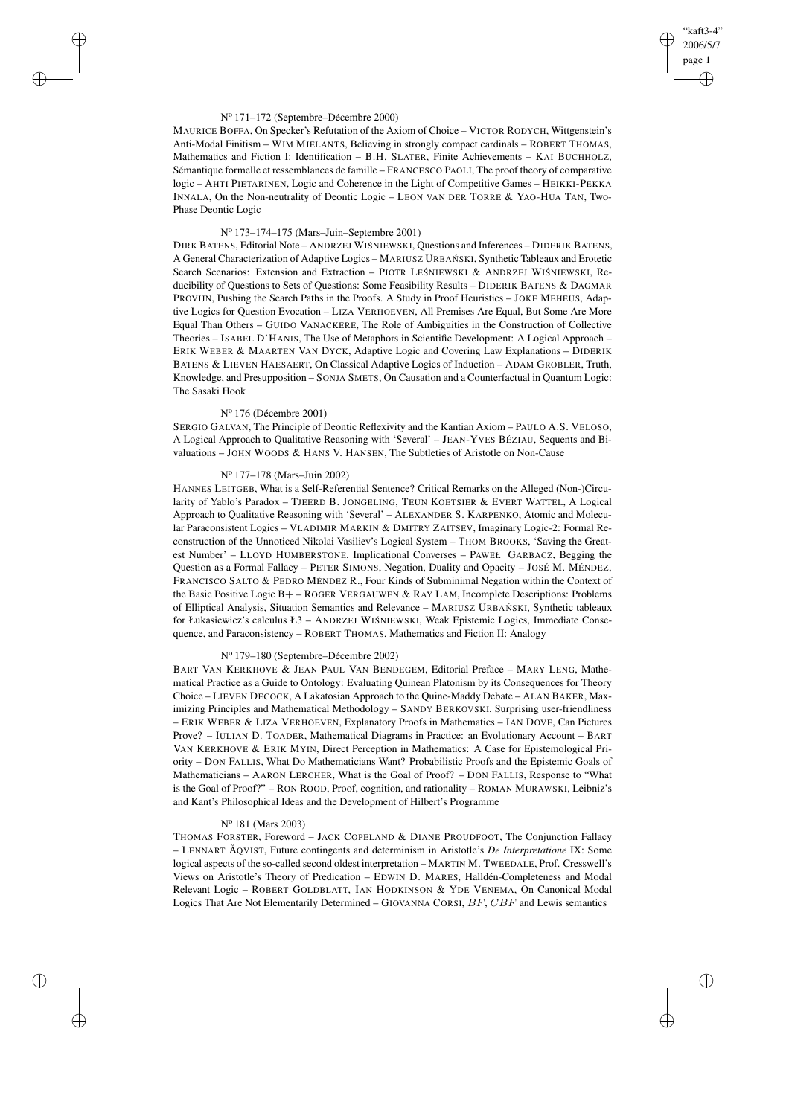## "kaft3-4" 2006/5/7 page 1 ✐ ✐

✐

✐

## N<sup>o</sup> 171–172 (Septembre–Décembre 2000)

✐

✐

✐

✐

MAURICE BOFFA, On Specker's Refutation of the Axiom of Choice – VICTOR RODYCH, Wittgenstein's Anti-Modal Finitism – WIM MIELANTS, Believing in strongly compact cardinals – ROBERT THOMAS, Mathematics and Fiction I: Identification – B.H. SLATER, Finite Achievements – KAI BUCHHOLZ, Sémantique formelle et ressemblances de famille – FRANCESCO PAOLI, The proof theory of comparative logic – AHTI PIETARINEN, Logic and Coherence in the Light of Competitive Games – HEIKKI-PEKKA INNALA, On the Non-neutrality of Deontic Logic – LEON VAN DER TORRE & YAO-HUA TAN, Two-Phase Deontic Logic

#### N<sup>o</sup> 173–174–175 (Mars–Juin–Septembre 2001)

DIRK BATENS, Editorial Note – ANDRZEJ WISNIEWSKI, Questions and Inferences – DIDERIK BATENS, A General Characterization of Adaptive Logics - MARIUSZ URBAŃ SKI, Synthetic Tableaux and Erotetic Search Scenarios: Extension and Extraction – PIOTR LEŚNIEWSKI & ANDRZEJ WIŚNIEWSKI, Reducibility of Questions to Sets of Questions: Some Feasibility Results – DIDERIK BATENS & DAGMAR PROVIJN, Pushing the Search Paths in the Proofs. A Study in Proof Heuristics – JOKE MEHEUS, Adaptive Logics for Question Evocation – LIZA VERHOEVEN, All Premises Are Equal, But Some Are More Equal Than Others – GUIDO VANACKERE, The Role of Ambiguities in the Construction of Collective Theories – ISABEL D'HANIS, The Use of Metaphors in Scientific Development: A Logical Approach – ERIK WEBER & MAARTEN VAN DYCK, Adaptive Logic and Covering Law Explanations – DIDERIK BATENS & LIEVEN HAESAERT, On Classical Adaptive Logics of Induction – ADAM GROBLER, Truth, Knowledge, and Presupposition – SONJA SMETS, On Causation and a Counterfactual in Quantum Logic: The Sasaki Hook

## N<sup>o</sup> 176 (Décembre 2001)

SERGIO GALVAN, The Principle of Deontic Reflexivity and the Kantian Axiom – PAULO A.S. VELOSO, A Logical Approach to Qualitative Reasoning with 'Several' – JEAN-YVES BÉZIAU, Sequents and Bivaluations – JOHN WOODS & HANS V. HANSEN, The Subtleties of Aristotle on Non-Cause

## N<sup>o</sup> 177–178 (Mars–Juin 2002)

HANNES LEITGEB, What is a Self-Referential Sentence? Critical Remarks on the Alleged (Non-)Circularity of Yablo's Paradox – TJEERD B. JONGELING, TEUN KOETSIER & EVERT WATTEL, A Logical Approach to Qualitative Reasoning with 'Several' – ALEXANDER S. KARPENKO, Atomic and Molecular Paraconsistent Logics – VLADIMIR MARKIN & DMITRY ZAITSEV, Imaginary Logic-2: Formal Reconstruction of the Unnoticed Nikolai Vasiliev's Logical System - THOM BROOKS, 'Saving the Greatest Number' – LLOYD HUMBERSTONE, Implicational Converses – PAWEŁ GARBACZ, Begging the Question as a Formal Fallacy – PETER SIMONS, Negation, Duality and Opacity – JOSÉ M. MÉNDEZ, FRANCISCO SALTO & PEDRO MÉNDEZ R., Four Kinds of Subminimal Negation within the Context of the Basic Positive Logic B+ – ROGER VERGAUWEN & RAY LAM, Incomplete Descriptions: Problems of Elliptical Analysis, Situation Semantics and Relevance - MARIUSZ URBAŃSKI, Synthetic tableaux for Łukasiewicz's calculus Ł3 – ANDRZEJ WIŚNIEWSKI, Weak Epistemic Logics, Immediate Consequence, and Paraconsistency – ROBERT THOMAS, Mathematics and Fiction II: Analogy

# N<sup>o</sup> 179–180 (Septembre–Décembre 2002)

BART VAN KERKHOVE & JEAN PAUL VAN BENDEGEM, Editorial Preface – MARY LENG, Mathematical Practice as a Guide to Ontology: Evaluating Quinean Platonism by its Consequences for Theory Choice – LIEVEN DECOCK, A Lakatosian Approach to the Quine-Maddy Debate – ALAN BAKER, Maximizing Principles and Mathematical Methodology – SANDY BERKOVSKI, Surprising user-friendliness – ERIK WEBER & LIZA VERHOEVEN, Explanatory Proofs in Mathematics – IAN DOVE, Can Pictures Prove? – IULIAN D. TOADER, Mathematical Diagrams in Practice: an Evolutionary Account – BART VAN KERKHOVE & ERIK MYIN, Direct Perception in Mathematics: A Case for Epistemological Priority – DON FALLIS, What Do Mathematicians Want? Probabilistic Proofs and the Epistemic Goals of Mathematicians – AARON LERCHER, What is the Goal of Proof? – DON FALLIS, Response to "What is the Goal of Proof?" – RON ROOD, Proof, cognition, and rationality – ROMAN MURAWSKI, Leibniz's and Kant's Philosophical Ideas and the Development of Hilbert's Programme

#### N<sup>o</sup> 181 (Mars 2003)

THOMAS FORSTER, Foreword – JACK COPELAND & DIANE PROUDFOOT, The Conjunction Fallacy – LENNART ÅQVIST, Future contingents and determinism in Aristotle's *De Interpretatione* IX: Some logical aspects of the so-called second oldest interpretation – MARTIN M. TWEEDALE, Prof. Cresswell's Views on Aristotle's Theory of Predication – EDWIN D. MARES, Halldén-Completeness and Modal Relevant Logic – ROBERT GOLDBLATT, IAN HODKINSON & YDE VENEMA, On Canonical Modal Logics That Are Not Elementarily Determined – GIOVANNA CORSI, BF, CBF and Lewis semantics